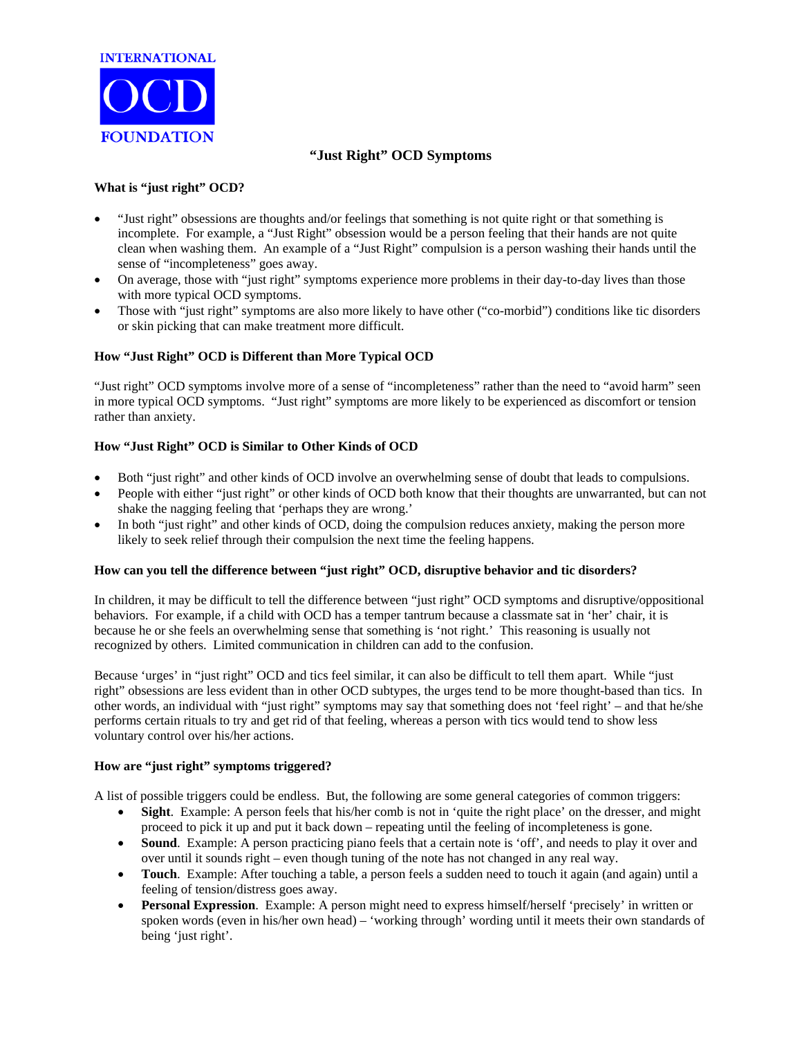

# **"Just Right" OCD Symptoms**

## **What is "just right" OCD?**

- "Just right" obsessions are thoughts and/or feelings that something is not quite right or that something is incomplete. For example, a "Just Right" obsession would be a person feeling that their hands are not quite clean when washing them. An example of a "Just Right" compulsion is a person washing their hands until the sense of "incompleteness" goes away.
- On average, those with "just right" symptoms experience more problems in their day-to-day lives than those with more typical OCD symptoms.
- Those with "just right" symptoms are also more likely to have other ("co-morbid") conditions like tic disorders or skin picking that can make treatment more difficult.

### **How "Just Right" OCD is Different than More Typical OCD**

"Just right" OCD symptoms involve more of a sense of "incompleteness" rather than the need to "avoid harm" seen in more typical OCD symptoms. "Just right" symptoms are more likely to be experienced as discomfort or tension rather than anxiety.

### **How "Just Right" OCD is Similar to Other Kinds of OCD**

- Both "just right" and other kinds of OCD involve an overwhelming sense of doubt that leads to compulsions.
- People with either "just right" or other kinds of OCD both know that their thoughts are unwarranted, but can not shake the nagging feeling that 'perhaps they are wrong.'
- In both "just right" and other kinds of OCD, doing the compulsion reduces anxiety, making the person more likely to seek relief through their compulsion the next time the feeling happens.

#### **How can you tell the difference between "just right" OCD, disruptive behavior and tic disorders?**

In children, it may be difficult to tell the difference between "just right" OCD symptoms and disruptive/oppositional behaviors. For example, if a child with OCD has a temper tantrum because a classmate sat in 'her' chair, it is because he or she feels an overwhelming sense that something is 'not right.' This reasoning is usually not recognized by others. Limited communication in children can add to the confusion.

Because 'urges' in "just right" OCD and tics feel similar, it can also be difficult to tell them apart. While "just right" obsessions are less evident than in other OCD subtypes, the urges tend to be more thought-based than tics. In other words, an individual with "just right" symptoms may say that something does not 'feel right' – and that he/she performs certain rituals to try and get rid of that feeling, whereas a person with tics would tend to show less voluntary control over his/her actions.

#### **How are "just right" symptoms triggered?**

A list of possible triggers could be endless. But, the following are some general categories of common triggers:

- **Sight**. Example: A person feels that his/her comb is not in 'quite the right place' on the dresser, and might proceed to pick it up and put it back down – repeating until the feeling of incompleteness is gone.
- **Sound**. Example: A person practicing piano feels that a certain note is 'off', and needs to play it over and over until it sounds right – even though tuning of the note has not changed in any real way.
- **Touch**. Example: After touching a table, a person feels a sudden need to touch it again (and again) until a feeling of tension/distress goes away.
- **Personal Expression**. Example: A person might need to express himself/herself 'precisely' in written or spoken words (even in his/her own head) – 'working through' wording until it meets their own standards of being 'just right'.